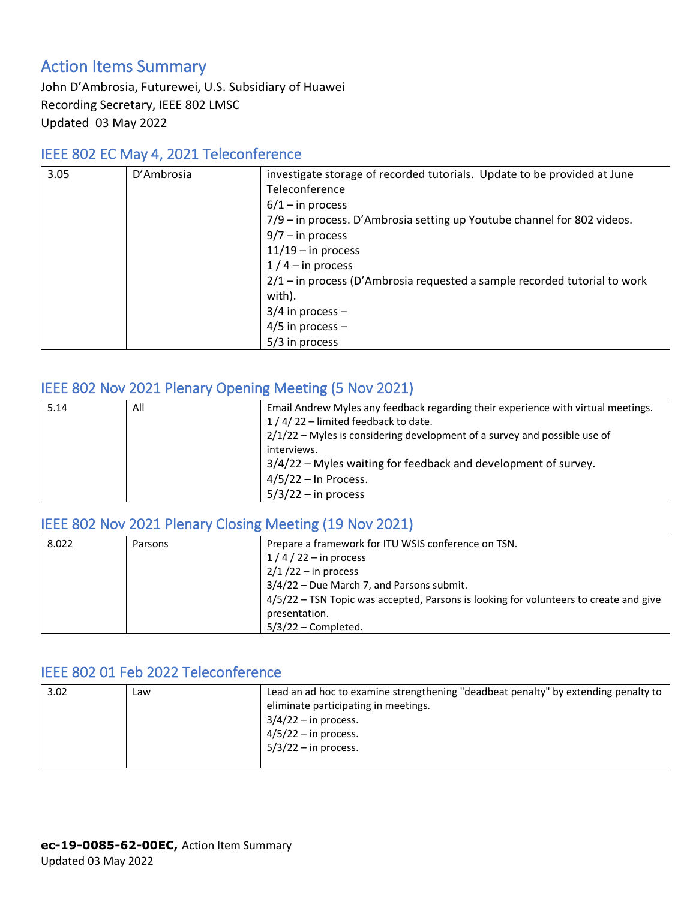## Action Items Summary

John D'Ambrosia, Futurewei, U.S. Subsidiary of Huawei Recording Secretary, IEEE 802 LMSC Updated 03 May 2022

#### IEEE 802 EC May 4, 2021 Teleconference

| 3.05 | D'Ambrosia | investigate storage of recorded tutorials. Update to be provided at June    |
|------|------------|-----------------------------------------------------------------------------|
|      |            | Teleconference                                                              |
|      |            | $6/1 - in process$                                                          |
|      |            | 7/9 – in process. D'Ambrosia setting up Youtube channel for 802 videos.     |
|      |            | $9/7 - in process$                                                          |
|      |            | $11/19$ – in process                                                        |
|      |            | $1/4$ – in process                                                          |
|      |            | $2/1$ – in process (D'Ambrosia requested a sample recorded tutorial to work |
|      |            | with).                                                                      |
|      |            | $3/4$ in process –                                                          |
|      |            | $4/5$ in process -                                                          |
|      |            | 5/3 in process                                                              |

#### IEEE 802 Nov 2021 Plenary Opening Meeting (5 Nov 2021)

| 5.14 | All | Email Andrew Myles any feedback regarding their experience with virtual meetings. |
|------|-----|-----------------------------------------------------------------------------------|
|      |     | 1 / 4 / 22 - limited feedback to date.                                            |
|      |     | $2/1/22$ – Myles is considering development of a survey and possible use of       |
|      |     | interviews.                                                                       |
|      |     | 3/4/22 – Myles waiting for feedback and development of survey.                    |
|      |     | $4/5/22$ – In Process.                                                            |
|      |     | $5/3/22 - in$ process                                                             |

#### IEEE 802 Nov 2021 Plenary Closing Meeting (19 Nov 2021)

| 8.022 | Parsons | Prepare a framework for ITU WSIS conference on TSN.                                   |
|-------|---------|---------------------------------------------------------------------------------------|
|       |         | $1/4/22$ – in process                                                                 |
|       |         | $2/1/22 -$ in process                                                                 |
|       |         | 3/4/22 - Due March 7, and Parsons submit.                                             |
|       |         | 4/5/22 - TSN Topic was accepted, Parsons is looking for volunteers to create and give |
|       |         | presentation.                                                                         |
|       |         | $5/3/22$ – Completed.                                                                 |

### IEEE 802 01 Feb 2022 Teleconference

| 3.02<br>Law |  | Lead an ad hoc to examine strengthening "deadbeat penalty" by extending penalty to<br>eliminate participating in meetings.<br>$3/4/22 - in$ process.<br>$4/5/22 - in$ process.<br>$5/3/22 -$ in process. |
|-------------|--|----------------------------------------------------------------------------------------------------------------------------------------------------------------------------------------------------------|
|-------------|--|----------------------------------------------------------------------------------------------------------------------------------------------------------------------------------------------------------|